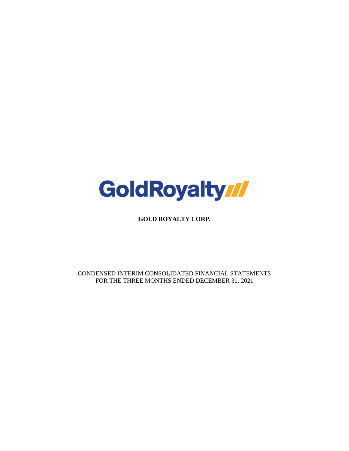

**GOLD ROYALTY CORP.**

CONDENSED INTERIM CONSOLIDATED FINANCIAL STATEMENTS FOR THE THREE MONTHS ENDED DECEMBER 31, 2021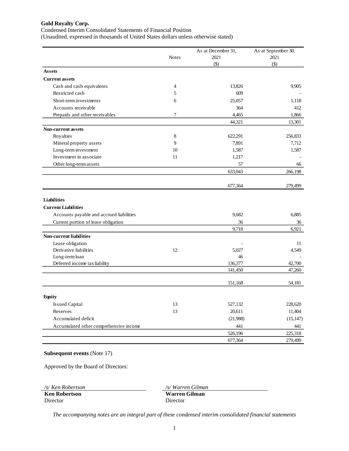Condensed Interim Consolidated Statements of Financial Position

(Unaudited, expressed in thousands of United States dollars unless otherwise stated)

|                                          |              | As at December 31, | As at September 30, |
|------------------------------------------|--------------|--------------------|---------------------|
|                                          | <b>Notes</b> | 2021               | 2021                |
|                                          |              | $($ \$)            | $(\$)$              |
| <b>Assets</b>                            |              |                    |                     |
| <b>Current assets</b>                    |              |                    |                     |
| Cash and cash equivalents                | 4            | 13,826             | 9,905               |
| Restricted cash                          | 5            | 609                |                     |
| Short-term investments                   | 6            | 25,057             | 1,118               |
| Accounts receivable                      |              | 364                | 412                 |
| Prepaids and other receivables           | 7            | 4,465              | 1,866               |
|                                          |              | 44,321             | 13,301              |
| <b>Non-current assets</b>                |              |                    |                     |
| Royalties                                | 8            | 622,291            | 256,833             |
| Mineral property assets                  | 9            | 7,891              | 7,712               |
| Long-term investment                     | 10           | 1,587              | 1,587               |
| Investment in associate                  | 11           | 1,217              |                     |
| Other long-term as sets                  |              | 57                 | 66                  |
|                                          |              | 633,043            | 266,198             |
|                                          |              |                    |                     |
|                                          |              | 677,364            | 279,499             |
|                                          |              |                    |                     |
| <b>Liabilities</b>                       |              |                    |                     |
| <b>Current Liabilities</b>               |              |                    |                     |
| Accounts payable and accrued liabilities |              | 9,682              | 6,885               |
| Current portion of lease obligation      |              | 36                 | 36                  |
|                                          |              | 9,718              | 6,921               |
| <b>Non-current liabilities</b>           |              |                    |                     |
| Lease obligation                         |              |                    | 11                  |
| Derivative liabilities                   | 12           | 5,027              | 4,549               |
| Long-term loan                           |              | 46                 |                     |
| Deferred income tax liability            |              | 136,377            | 42,700              |
|                                          |              | 141,450            | 47,260              |
|                                          |              | 151,168            | 54,181              |
|                                          |              |                    |                     |
| <b>Equity</b>                            |              |                    |                     |
| <b>Issued Capital</b>                    | 13           | 527,132            | 228,620             |
| Reserves                                 | 13           | 20,611             | 11,404              |
| Accumulated deficit                      |              | (21,988)           | (15, 147)           |
| Accumulated other comprehensive income   |              |                    | 441                 |
|                                          |              |                    |                     |
|                                          |              | 441<br>526,196     | 225,318             |

#### **Subsequent events** (Note 17)

Approved by the Board of Directors:

*/s/ Ken Robertson /s/ Warren Gilman* **Ken Robertson** Director

**Warren Gilman** Director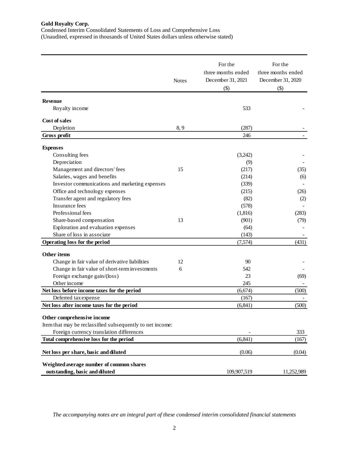Condensed Interim Consolidated Statements of Loss and Comprehensive Loss (Unaudited, expressed in thousands of United States dollars unless otherwise stated)

|                                                                          | <b>Notes</b> | For the<br>three months ended<br>December 31, 2021<br>$($ \$) | For the<br>three months ended<br>December 31, 2020<br>$($ \$) |
|--------------------------------------------------------------------------|--------------|---------------------------------------------------------------|---------------------------------------------------------------|
|                                                                          |              |                                                               |                                                               |
| <b>Revenue</b><br>Royalty income                                         |              | 533                                                           |                                                               |
|                                                                          |              |                                                               |                                                               |
| Cost of sales                                                            |              |                                                               |                                                               |
| Depletion<br>Gross profit                                                | 8,9          | (287)<br>246                                                  |                                                               |
|                                                                          |              |                                                               |                                                               |
| <b>Expenses</b>                                                          |              |                                                               |                                                               |
| Consulting fees                                                          |              | (3,242)                                                       |                                                               |
| Depreciation                                                             |              | (9)                                                           |                                                               |
| Management and directors' fees                                           | 15           | (217)                                                         | (35)                                                          |
| Salaries, wages and benefits                                             |              | (214)                                                         | (6)                                                           |
| Investor communications and marketing expenses                           |              | (339)                                                         |                                                               |
| Office and technology expenses                                           |              | (215)                                                         | (26)                                                          |
| Transfer agent and regulatory fees                                       |              | (82)                                                          | (2)                                                           |
| Insurance fees                                                           |              | (578)                                                         |                                                               |
| Professional fees                                                        |              | (1, 816)                                                      | (283)                                                         |
| Share-based compensation                                                 | 13           | (901)                                                         | (79)                                                          |
| Exploration and evaluation expenses                                      |              | (64)                                                          |                                                               |
| Share of loss in associate                                               |              | (143)                                                         |                                                               |
| Operating loss for the period                                            |              | (7,574)                                                       | (431)                                                         |
|                                                                          |              |                                                               |                                                               |
| Other items                                                              |              |                                                               |                                                               |
| Change in fair value of derivative liabilities                           | 12           | 90                                                            |                                                               |
| Change in fair value of short-term investments                           | 6            | 542                                                           |                                                               |
| Foreign exchange gain/(loss)                                             |              | 23                                                            | (69)                                                          |
| Other income                                                             |              | 245                                                           |                                                               |
| Net loss before income taxes for the period                              |              | (6,674)                                                       | (500)                                                         |
| Deferred tax expense                                                     |              | (167)                                                         |                                                               |
| Net loss after income taxes for the period<br>Other comprehensive income |              | (6, 841)                                                      | (500)                                                         |
| Item that may be reclassified subsequently to net income:                |              |                                                               |                                                               |
| Foreign currency translation differences                                 |              |                                                               | 333                                                           |
| Total comprehensive loss for the period                                  |              | (6, 841)                                                      | (167)                                                         |
| Net loss per share, basic and diluted                                    |              | (0.06)                                                        | (0.04)                                                        |
| Weighted average number of common shares                                 |              |                                                               |                                                               |
| outstanding, basic and diluted                                           |              | 109,907,519                                                   | 11,252,989                                                    |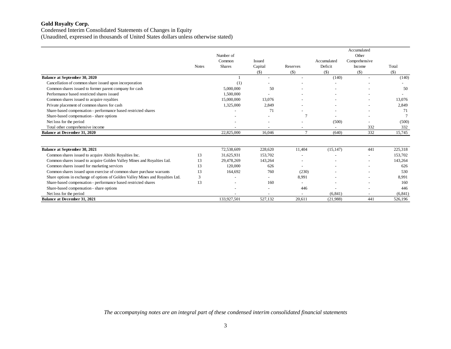Condensed Interim Consolidated Statements of Changes in Equity (Unaudited, expressed in thousands of United States dollars unless otherwise stated)

|                                                                                |              |               |               |                          |             | Accumulated              |          |
|--------------------------------------------------------------------------------|--------------|---------------|---------------|--------------------------|-------------|--------------------------|----------|
|                                                                                |              | Number of     |               |                          |             | Other                    |          |
|                                                                                |              | Common        | <b>Issued</b> |                          | Accumulated | Comprehensive            |          |
|                                                                                | <b>Notes</b> | <b>Shares</b> | Capital       | Reserves                 | Deficit     | Income                   | Total    |
|                                                                                |              |               | $($ \$)       | $($)$                    | $($ \$)     | $($ \$)                  | $($)$    |
| <b>Balance at September 30, 2020</b>                                           |              |               |               |                          | (140)       | $\overline{\phantom{a}}$ | (140)    |
| Cancellation of common share issued upon incorporation                         |              | (1)           |               |                          |             |                          |          |
| Common shares issued to former parent company for cash                         |              | 5,000,000     | 50            |                          |             |                          | 50       |
| Performance based restricted shares issued                                     |              | 1,500,000     |               |                          |             |                          |          |
| Common shares issued to acquire royalties                                      |              | 15,000,000    | 13,076        |                          |             |                          | 13,076   |
| Private placement of common shares for cash                                    |              | 1,325,000     | 2,849         |                          |             | $\overline{\phantom{a}}$ | 2,849    |
| Share-based compensation - performance based restricted shares                 |              |               | 71            |                          |             |                          | 71       |
| Share-based compensation - share options                                       |              |               |               |                          |             |                          |          |
| Net loss for the period                                                        |              |               |               |                          | (500)       |                          | (500)    |
| Total other comprehensive income                                               |              |               |               |                          |             | 332                      | 332      |
| <b>Balance at December 31, 2020</b>                                            |              | 22,825,000    | 16,046        | $\tau$                   | (640)       | 332                      | 15,745   |
| Balance at September 30, 2021                                                  |              | 72,538,609    | 228,620       | 11,404                   | (15, 147)   | 441                      | 225,318  |
| Common shares issued to acquire Abitibi Royalties Inc.                         | 13           | 31,625,931    | 153,702       |                          |             |                          | 153,702  |
| Common shares issued to acquire Golden Valley Mines and Royalties Ltd.         | 13           | 29,478,269    | 143,264       |                          |             | $\overline{\phantom{a}}$ | 143,264  |
| Common shares issued for marketing services                                    | 13           | 120,000       | 626           | $\overline{\phantom{a}}$ |             |                          | 626      |
| Common shares issued upon exercise of common share purchase warrants           | 13           | 164,692       | 760           | (230)                    |             |                          | 530      |
| Share options in exchange of options of Golden Valley Mines and Royalties Ltd. | 3            |               |               | 8,991                    |             |                          | 8,991    |
| Share-based compensation - performance based restricted shares                 | 13           |               | 160           |                          |             |                          | 160      |
| Share-based compensation - share options                                       |              |               |               | 446                      |             |                          | 446      |
| Net loss for the period                                                        |              |               | ٠             |                          | (6, 841)    | $\overline{\phantom{a}}$ | (6, 841) |
| <b>Balance at December 31, 2021</b>                                            |              | 133,927,501   | 527,132       | 20.611                   | (21,988)    | 441                      | 526,196  |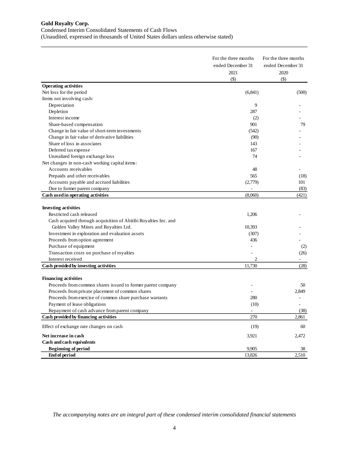#### Condensed Interim Consolidated Statements of Cash Flows

(Unaudited, expressed in thousands of United States dollars unless otherwise stated)

|                                                                 | For the three months<br>ended December 31<br>2021<br>$(\$)$ | For the three months<br>ended December 31<br>2020<br>$($ \$) |
|-----------------------------------------------------------------|-------------------------------------------------------------|--------------------------------------------------------------|
| <b>Operating activities</b>                                     |                                                             |                                                              |
| Net loss for the period                                         | (6, 841)                                                    | (500)                                                        |
| Items not involving cash:                                       |                                                             |                                                              |
| Depreciation                                                    | 9                                                           |                                                              |
| Depletion                                                       | 287                                                         |                                                              |
| Interest income                                                 | (2)                                                         |                                                              |
| Share-based compensation                                        | 901                                                         | 79                                                           |
| Change in fair value of short-term investments                  | (542)                                                       |                                                              |
| Change in fair value of derivative liabilities                  | (90)                                                        |                                                              |
| Share of loss in associates                                     | 143                                                         |                                                              |
| Deferred tax expense                                            | 167                                                         |                                                              |
| Unrealized foreign exchange loss                                | 74                                                          |                                                              |
| Net changes in non-cash working capital items:                  |                                                             |                                                              |
| Accounts receivables                                            | 48                                                          |                                                              |
| Prepaids and other receivables                                  | 565                                                         | (18)                                                         |
| Accounts payable and accrued liabilities                        | (2,779)                                                     | 101                                                          |
| Due to former parent company                                    |                                                             | (83)                                                         |
| Cash used in operating activities                               | (8,060)                                                     | (421)                                                        |
|                                                                 |                                                             |                                                              |
| <b>Investing activities</b>                                     |                                                             |                                                              |
| Restricted cash released                                        | 1,206                                                       |                                                              |
| Cash acquired through acquisition of Abitibi Royalties Inc. and |                                                             |                                                              |
| Golden Valley Mines and Royalties Ltd.                          | 10,393                                                      |                                                              |
| Investment in exploration and evaluation assets                 | (307)                                                       |                                                              |
| Proceeds from option agreement                                  | 436                                                         |                                                              |
| Purchase of equipment                                           |                                                             | (2)                                                          |
| Transaction costs on purchase of royalties                      |                                                             | (26)                                                         |
| Interest received                                               | $\overline{c}$                                              |                                                              |
| Cash provided by investing activities                           | 11,730                                                      | (28)                                                         |
|                                                                 |                                                             |                                                              |
| <b>Financing activities</b>                                     |                                                             |                                                              |
| Proceeds from common shares issued to former parent company     |                                                             | 50                                                           |
| Proceeds from private placement of common shares                |                                                             | 2,849                                                        |
| Proceeds from exercise of common share purchase warrants        | 280                                                         |                                                              |
| Payment of lease obligations                                    | (10)                                                        | $\overline{\phantom{0}}$                                     |
| Repayment of cash advance from parent company                   | $\overline{\phantom{a}}$                                    | (38)                                                         |
| Cash provided by financing activities                           | 270                                                         | 2,861                                                        |
| Effect of exchange rate changes on cash                         | (19)                                                        | 60                                                           |
| Net increase in cash                                            | 3,921                                                       | 2,472                                                        |
| Cash and cash equivalents                                       |                                                             |                                                              |
| <b>Beginning of period</b>                                      | 9,905                                                       | 38                                                           |
| <b>End of period</b>                                            | 13,826                                                      | 2,510                                                        |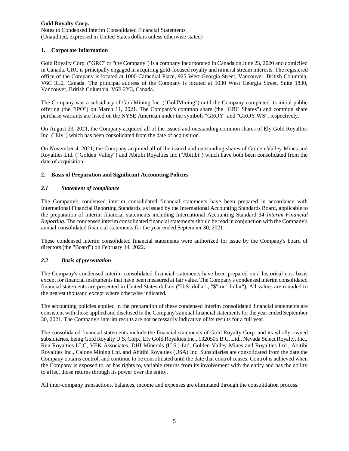Notes to Condensed Interim Consolidated Financial Statements (Unaudited, expressed in United States dollars unless otherwise stated)

## **1. Corporate Information**

Gold Royalty Corp. ("GRC" or "the Company") is a company incorporated in Canada on June 23, 2020 and domiciled in Canada. GRC is principally engaged in acquiring gold-focused royalty and mineral stream interests. The registered office of the Company is located at 1000 Cathedral Place, 925 West Georgia Street, Vancouver, British Columbia, V6C 3L2, Canada. The principal address of the Company is located at 1030 West Georgia Street, Suite 1830, Vancouver, British Columbia, V6E 2Y3, Canada.

The Company was a subsidiary of GoldMining Inc. ("GoldMining") until the Company completed its initial public offering (the "IPO") on March 11, 2021. The Company's common share (the "GRC Shares") and common share purchase warrants are listed on the NYSE American under the symbols "GROY" and "GROY.WS", respectively.

On August 23, 2021, the Company acquired all of the issued and outstanding common shares of Ely Gold Royalties Inc. ("Ely") which has been consolidated from the date of acquisition.

On November 4, 2021, the Company acquired all of the issued and outstanding shares of Golden Valley Mines and Royalties Ltd. ("Golden Valley") and Abitibi Royalties Inc ("Abitibi") which have both been consolidated from the date of acquisition.

## **2. Basis of Preparation and Significant Accounting Policies**

## *2.1 Statement of compliance*

The Company's condensed interim consolidated financial statements have been prepared in accordance with International Financial Reporting Standards, as issued by the International Accounting Standards Board, applicable to the preparation of interim financial statements including International Accounting Standard 34 *Interim Financial Reporting*. The condensed interim consolidated financial statements should be read in conjunction with the Company's annual consolidated financial statements for the year ended September 30, 2021

These condensed interim consolidated financial statements were authorized for issue by the Company's board of directors (the "Board") on February 14, 2022.

### *2.2 Basis of presentation*

The Company's condensed interim consolidated financial statements have been prepared on a historical cost basis except for financial instruments that have been measured at fair value. The Company's condensed interim consolidated financial statements are presented in United States dollars ("U.S. dollar", "\$" or "dollar"). All values are rounded to the nearest thousand except where otherwise indicated.

The accounting policies applied in the preparation of these condensed interim consolidated financial statements are consistent with those applied and disclosed in the Company's annual financial statements for the year ended September 30, 2021. The Company's interim results are not necessarily indicative of its results for a full year.

The consolidated financial statements include the financial statements of Gold Royalty Corp. and its wholly-owned subsidiaries, being Gold Royalty U.S. Corp., Ely Gold Royalties Inc., 1320505 B.C. Ltd., Nevada Select Royalty, Inc., Ren Royalties LLC, VEK Associates, DHI Minerals (U.S.) Ltd, Golden Valley Mines and Royalties Ltd., Abitibi Royalties Inc., Calone Mining Ltd. and Abitibi Royalties (USA) Inc. Subsidiaries are consolidated from the date the Company obtains control, and continue to be consolidated until the date that control ceases. Control is achieved when the Company is exposed to, or has rights to, variable returns from its involvement with the entity and has the ability to affect those returns through its power over the entity.

All inter-company transactions, balances, income and expenses are eliminated through the consolidation process.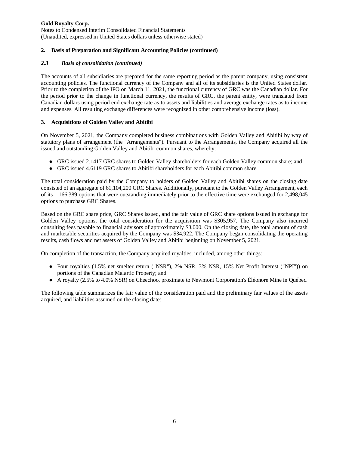Notes to Condensed Interim Consolidated Financial Statements (Unaudited, expressed in United States dollars unless otherwise stated)

## **2. Basis of Preparation and Significant Accounting Policies (continued)**

## *2.3 Basis of consolidation (continued)*

The accounts of all subsidiaries are prepared for the same reporting period as the parent company, using consistent accounting policies. The functional currency of the Company and all of its subsidiaries is the United States dollar. Prior to the completion of the IPO on March 11, 2021, the functional currency of GRC was the Canadian dollar. For the period prior to the change in functional currency, the results of GRC, the parent entity, were translated from Canadian dollars using period end exchange rate as to assets and liabilities and average exchange rates as to income and expenses. All resulting exchange differences were recognized in other comprehensive income (loss).

## **3. Acquisitions of Golden Valley and Abitibi**

On November 5, 2021, the Company completed business combinations with Golden Valley and Abitibi by way of statutory plans of arrangement (the "Arrangements"). Pursuant to the Arrangements, the Company acquired all the issued and outstanding Golden Valley and Abitibi common shares, whereby:

- GRC issued 2.1417 GRC shares to Golden Valley shareholders for each Golden Valley common share; and
- GRC issued 4.6119 GRC shares to Abitibi shareholders for each Abitibi common share.

The total consideration paid by the Company to holders of Golden Valley and Abitibi shares on the closing date consisted of an aggregate of 61,104,200 GRC Shares. Additionally, pursuant to the Golden Valley Arrangement, each of its 1,166,389 options that were outstanding immediately prior to the effective time were exchanged for 2,498,045 options to purchase GRC Shares.

Based on the GRC share price, GRC Shares issued, and the fair value of GRC share options issued in exchange for Golden Valley options, the total consideration for the acquisition was \$305,957. The Company also incurred consulting fees payable to financial advisors of approximately \$3,000. On the closing date, the total amount of cash and marketable securities acquired by the Company was \$34,922. The Company began consolidating the operating results, cash flows and net assets of Golden Valley and Abitibi beginning on November 5, 2021.

On completion of the transaction, the Company acquired royalties, included, among other things:

- Four royalties (1.5% net smelter return ("NSR"), 2% NSR, 3% NSR, 15% Net Profit Interest ("NPI")) on portions of the Canadian Malartic Property; and
- A royalty (2.5% to 4.0% NSR) on Cheechoo, proximate to Newmont Corporation's Éléonore Mine in Québec.

The following table summarizes the fair value of the consideration paid and the preliminary fair values of the assets acquired, and liabilities assumed on the closing date: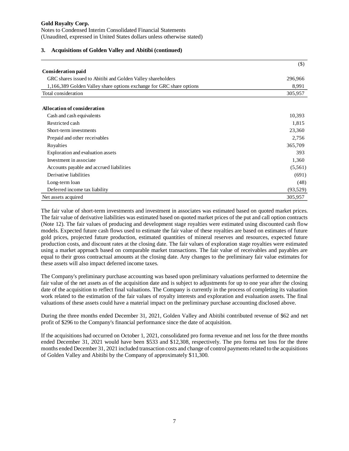#### **3. Acquisitions of Golden Valley and Abitibi (continued)**

|                                                                      | $($ \$    |
|----------------------------------------------------------------------|-----------|
| <b>Consideration paid</b>                                            |           |
| GRC shares issued to Abitibi and Golden Valley shareholders          | 296,966   |
| 1,166,389 Golden Valley share options exchange for GRC share options | 8,991     |
| Total consideration                                                  | 305,957   |
|                                                                      |           |
| <b>Allocation of consideration</b>                                   |           |
| Cash and cash equivalents                                            | 10,393    |
| Restricted cash                                                      | 1,815     |
| Short-term investments                                               | 23,360    |
| Prepaid and other receivables                                        | 2,756     |
| Royalties                                                            | 365,709   |
| Exploration and evaluation assets                                    | 393       |
| Investment in associate                                              | 1,360     |
| Accounts payable and accrued liabilities                             | (5,561)   |
| Derivative liabilities                                               | (691)     |
| Long-term loan                                                       | (48)      |
| Deferred income tax liability                                        | (93, 529) |
| Net assets acquired                                                  | 305,957   |

The fair value of short-term investments and investment in associates was estimated based on quoted market prices. The fair value of derivative liabilities was estimated based on quoted market prices of the put and call option contracts (Note 12). The fair values of producing and development stage royalties were estimated using discounted cash flow models. Expected future cash flows used to estimate the fair value of these royalties are based on estimates of future gold prices, projected future production, estimated quantities of mineral reserves and resources, expected future production costs, and discount rates at the closing date. The fair values of exploration stage royalties were estimated using a market approach based on comparable market transactions. The fair value of receivables and payables are equal to their gross contractual amounts at the closing date. Any changes to the preliminary fair value estimates for these assets will also impact deferred income taxes.

The Company's preliminary purchase accounting was based upon preliminary valuations performed to determine the fair value of the net assets as of the acquisition date and is subject to adjustments for up to one year after the closing date of the acquisition to reflect final valuations. The Company is currently in the process of completing its valuation work related to the estimation of the fair values of royalty interests and exploration and evaluation assets. The final valuations of these assets could have a material impact on the preliminary purchase accounting disclosed above.

During the three months ended December 31, 2021, Golden Valley and Abitibi contributed revenue of \$62 and net profit of \$296 to the Company's financial performance since the date of acquisition.

If the acquisitions had occurred on October 1, 2021, consolidated pro forma revenue and net loss for the three months ended December 31, 2021 would have been \$533 and \$12,308, respectively. The pro forma net loss for the three months ended December 31, 2021 included transaction costs and change of control payments related to the acquisitions of Golden Valley and Abitibi by the Company of approximately \$11,300.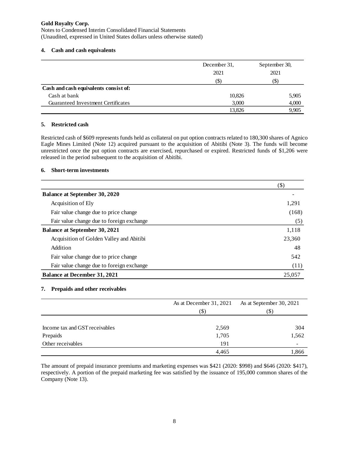Notes to Condensed Interim Consolidated Financial Statements (Unaudited, expressed in United States dollars unless otherwise stated)

#### **4. Cash and cash equivalents**

|                                       | December 31. | September 30, |  |
|---------------------------------------|--------------|---------------|--|
|                                       | 2021         | 2021          |  |
|                                       | (\$)         | (\$           |  |
| Cash and cash equivalents consist of: |              |               |  |
| Cash at bank                          | 10,826       | 5,905         |  |
| Guaranteed Investment Certificates    | 3,000        | 4,000         |  |
|                                       | 13,826       | 9,905         |  |

#### **5. Restricted cash**

Restricted cash of \$609 represents funds held as collateral on put option contracts related to 180,300 shares of Agnico Eagle Mines Limited (Note 12) acquired pursuant to the acquisition of Abitibi (Note 3). The funds will become unrestricted once the put option contracts are exercised, repurchased or expired. Restricted funds of \$1,206 were released in the period subsequent to the acquisition of Abitibi.

#### **6. Short-term investments**

|                                           | $(\$)$ |
|-------------------------------------------|--------|
| <b>Balance at September 30, 2020</b>      |        |
| Acquisition of Ely                        | 1,291  |
| Fair value change due to price change     | (168)  |
| Fair value change due to foreign exchange | (5)    |
| <b>Balance at September 30, 2021</b>      | 1,118  |
| Acquisition of Golden Valley and Abitibi  | 23,360 |
| Addition                                  | 48     |
| Fair value change due to price change     | 542    |
| Fair value change due to foreign exchange | (11)   |
| <b>Balance at December 31, 2021</b>       | 25,057 |

#### **7. Prepaids and other receivables**

|                                | As at December 31, 2021 | As at September 30, 2021 |  |
|--------------------------------|-------------------------|--------------------------|--|
|                                | (S)                     | $(\$)$                   |  |
|                                |                         |                          |  |
| Income tax and GST receivables | 2,569                   | 304                      |  |
| Prepaids                       | 1,705                   | 1,562                    |  |
| Other receivables              | 191                     |                          |  |
|                                | 4,465                   | 1,866                    |  |

The amount of prepaid insurance premiums and marketing expenses was \$421 (2020: \$998) and \$646 (2020: \$417), respectively. A portion of the prepaid marketing fee was satisfied by the issuance of 195,000 common shares of the Company (Note 13).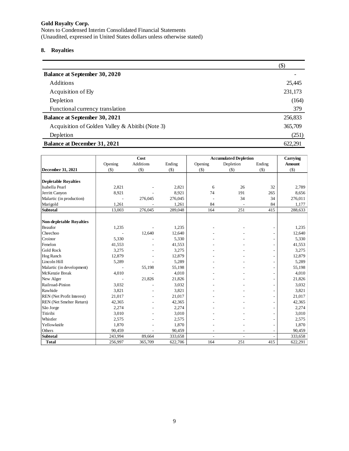Notes to Condensed Interim Consolidated Financial Statements (Unaudited, expressed in United States dollars unless otherwise stated)

## **8. Royalties**

|                                                 | $$\left( \text{\$}\right)$ |
|-------------------------------------------------|----------------------------|
| <b>Balance at September 30, 2020</b>            |                            |
| <b>Additions</b>                                | 25,445                     |
| Acquisition of Ely                              | 231,173                    |
| Depletion                                       | (164)                      |
| Functional currency translation                 | 379                        |
| <b>Balance at September 30, 2021</b>            | 256,833                    |
| Acquisition of Golden Valley & Abitibi (Note 3) | 365,709                    |
| Depletion                                       | (251)                      |
| <b>Balance at December 31, 2021</b>             | 622.291                    |

|                                 |                | Cost      |         |                          | <b>Accumulated Depletion</b> |                | Carrying      |
|---------------------------------|----------------|-----------|---------|--------------------------|------------------------------|----------------|---------------|
|                                 | Opening        | Additions | Ending  | Opening                  | Depletion                    | Ending         | <b>Amount</b> |
| December 31, 2021               | $($)$          | $($)$     | $($)$   | $($ \$                   | $($)$                        | $($)$          | $($ \$        |
|                                 |                |           |         |                          |                              |                |               |
| <b>Depletable Royalties</b>     |                |           |         |                          |                              |                |               |
| Isabella Pearl                  | 2,821          |           | 2,821   | 6                        | 26                           | 32             | 2,789         |
| Jerritt Canyon                  | 8,921          |           | 8,921   | 74                       | 191                          | 265            | 8,656         |
| Malartic (in production)        | $\overline{a}$ | 276,045   | 276,045 |                          | 34                           | 34             | 276,011       |
| Marigold                        | 1,261          |           | 1,261   | 84                       |                              | 84             | 1,177         |
| <b>Subtotal</b>                 | 13,003         | 276,045   | 289,048 | 164                      | 251                          | 415            | 288,633       |
|                                 |                |           |         |                          |                              |                |               |
| <b>Non-depletable Royalties</b> |                |           |         |                          |                              |                |               |
| Beaufor                         | 1,235          |           | 1,235   |                          |                              |                | 1,235         |
| Cheechoo                        |                | 12,640    | 12,640  |                          |                              |                | 12,640        |
| Croinor                         | 5,330          |           | 5,330   |                          |                              |                | 5,330         |
| Fenelon                         | 41,553         |           | 41,553  |                          |                              |                | 41,553        |
| <b>Gold Rock</b>                | 3,275          |           | 3,275   |                          |                              |                | 3,275         |
| Hog Ranch                       | 12,879         |           | 12,879  |                          |                              |                | 12,879        |
| Lincoln Hill                    | 5,289          |           | 5,289   |                          |                              |                | 5,289         |
| Malartic (in development)       |                | 55,198    | 55,198  |                          |                              | $\overline{a}$ | 55,198        |
| McKenzie Break                  | 4,010          |           | 4,010   |                          |                              |                | 4,010         |
| New Alger                       |                | 21,826    | 21,826  |                          |                              |                | 21,826        |
| Railroad-Pinion                 | 3,032          |           | 3,032   |                          |                              |                | 3,032         |
| Rawhide                         | 3,821          |           | 3,821   |                          |                              |                | 3,821         |
| REN (Net Profit Interest)       | 21,017         |           | 21,017  |                          |                              |                | 21,017        |
| REN (Net Smelter Return)        | 42,365         |           | 42,365  |                          |                              |                | 42,365        |
| São Jorge                       | 2,274          |           | 2,274   |                          |                              |                | 2,274         |
| Titiribi                        | 3,010          |           | 3,010   |                          |                              |                | 3,010         |
| Whistler                        | 2,575          |           | 2,575   |                          |                              |                | 2,575         |
| Yellowknife                     | 1,870          |           | 1,870   |                          |                              |                | 1,870         |
| Others                          | 90,459         |           | 90,459  |                          |                              |                | 90,459        |
| <b>Subtotal</b>                 | 243,994        | 89,664    | 333,658 | $\overline{\phantom{a}}$ |                              |                | 333,658       |
| <b>Total</b>                    | 256,997        | 365,709   | 622,706 | 164                      | 251                          | 415            | 622,291       |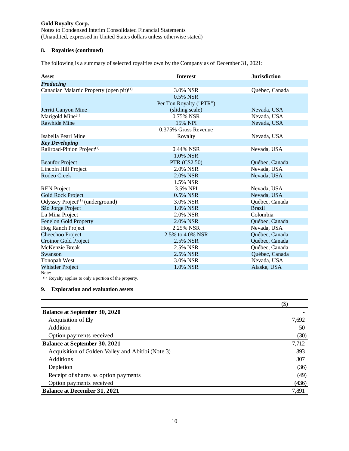Notes to Condensed Interim Consolidated Financial Statements (Unaudited, expressed in United States dollars unless otherwise stated)

## **8. Royalties (continued)**

The following is a summary of selected royalties own by the Company as of December 31, 2021:

| <b>Asset</b>                                              | <b>Interest</b>         | <b>Jurisdiction</b> |
|-----------------------------------------------------------|-------------------------|---------------------|
| <b>Producing</b>                                          |                         |                     |
| Canadian Malartic Property (open pit) <sup>(1)</sup>      | 3.0% NSR                | Québec, Canada      |
|                                                           | 0.5% NSR                |                     |
|                                                           | Per Ton Royalty ("PTR") |                     |
| Jerritt Canyon Mine                                       | (sliding scale)         | Nevada, USA         |
| Marigold Mine <sup>(1)</sup>                              | 0.75% NSR               | Nevada, USA         |
| <b>Rawhide Mine</b>                                       | 15% NPI                 | Nevada, USA         |
|                                                           | 0.375% Gross Revenue    |                     |
| Isabella Pearl Mine                                       | Royalty                 | Nevada, USA         |
| <b>Key Developing</b>                                     |                         |                     |
| Railroad-Pinion Project <sup>(1)</sup>                    | $0.44\%$ NSR            | Nevada, USA         |
|                                                           | 1.0% NSR                |                     |
| <b>Beaufor Project</b>                                    | <b>PTR</b> (C\$2.50)    | Québec, Canada      |
| Lincoln Hill Project                                      | 2.0% NSR                | Nevada, USA         |
| <b>Rodeo Creek</b>                                        | 2.0% NSR                | Nevada, USA         |
|                                                           | 1.5% NSR                |                     |
| <b>REN</b> Project                                        | 3.5% NPI                | Nevada, USA         |
| <b>Gold Rock Project</b>                                  | 0.5% NSR                | Nevada, USA         |
| Odyssey Project <sup><math>(1)</math></sup> (underground) | 3.0% NSR                | Québec, Canada      |
| São Jorge Project                                         | 1.0% NSR                | <b>Brazil</b>       |
| La Mina Project                                           | 2.0% NSR                | Colombia            |
| Fenelon Gold Property                                     | 2.0% NSR                | Québec, Canada      |
| Hog Ranch Project                                         | 2.25% NSR               | Nevada, USA         |
| Cheechoo Project                                          | 2.5% to 4.0% NSR        | Québec, Canada      |
| Croinor Gold Project                                      | 2.5% NSR                | Québec, Canada      |
| McKenzie Break                                            | 2.5% NSR                | Québec, Canada      |
| Swanson                                                   | 2.5% NSR                | Québec, Canada      |
| Tonopah West                                              | 3.0% NSR                | Nevada, USA         |
| <b>Whistler Project</b>                                   | 1.0% NSR                | Alaska, USA         |

Note:

(1) Royalty applies to only a portion of the property.

## **9. Exploration and evaluation assets**

|                                                   | $(\$)$ |
|---------------------------------------------------|--------|
| <b>Balance at September 30, 2020</b>              |        |
| Acquisition of Ely                                | 7,692  |
| Addition                                          | 50     |
| Option payments received                          | (30)   |
| <b>Balance at September 30, 2021</b>              | 7,712  |
| Acquisition of Golden Valley and Abitibi (Note 3) | 393    |
| <b>Additions</b>                                  | 307    |
| Depletion                                         | (36)   |
| Receipt of shares as option payments              | (49)   |
| Option payments received                          | (436)  |
| <b>Balance at December 31, 2021</b>               | 7,891  |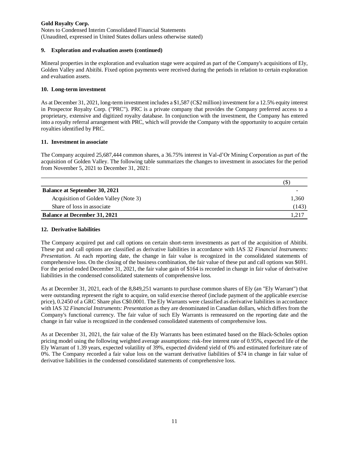Notes to Condensed Interim Consolidated Financial Statements (Unaudited, expressed in United States dollars unless otherwise stated)

### **9. Exploration and evaluation assets (continued)**

Mineral properties in the exploration and evaluation stage were acquired as part of the Company's acquisitions of Ely, Golden Valley and Abitibi. Fixed option payments were received during the periods in relation to certain exploration and evaluation assets.

### **10. Long-term investment**

As at December 31, 2021, long-term investment includes a \$1,587 (C\$2 million) investment for a 12.5% equity interest in Prospector Royalty Corp. ("PRC"). PRC is a private company that provides the Company preferred access to a proprietary, extensive and digitized royalty database. In conjunction with the investment, the Company has entered into a royalty referral arrangement with PRC, which will provide the Company with the opportunity to acquire certain royalties identified by PRC.

#### **11. Investment in associate**

The Company acquired 25,687,444 common shares, a 36.75% interest in Val-d'Or Mining Corporation as part of the acquisition of Golden Valley. The following table summarizes the changes to investment in associates for the period from November 5, 2021 to December 31, 2021:

|                                       | (\$   |
|---------------------------------------|-------|
| <b>Balance at September 30, 2021</b>  |       |
| Acquisition of Golden Valley (Note 3) | 1,360 |
| Share of loss in associate            | (143) |
| <b>Balance at December 31, 2021</b>   | 1.217 |

#### **12. Derivative liabilities**

The Company acquired put and call options on certain short-term investments as part of the acquisition of Abitibi. These put and call options are classified as derivative liabilities in accordance with IAS 32 *Financial Instruments: Presentation*. At each reporting date, the change in fair value is recognized in the consolidated statements of comprehensive loss. On the closing of the business combination, the fair value of these put and call options was \$691. For the period ended December 31, 2021, the fair value gain of \$164 is recorded in change in fair value of derivative liabilities in the condensed consolidated statements of comprehensive loss.

As at December 31, 2021, each of the 8,849,251 warrants to purchase common shares of Ely (an "Ely Warrant") that were outstanding represent the right to acquire, on valid exercise thereof (include payment of the applicable exercise price), 0.2450 of a GRC Share plus C\$0.0001. The Ely Warrants were classified as derivative liabilities in accordance with IAS 32 *Financial Instruments: Presentation* as they are denominated in Canadian dollars, which differs from the Company's functional currency. The fair value of such Ely Warrants is remeasured on the reporting date and the change in fair value is recognized in the condensed consolidated statements of comprehensive loss.

As at December 31, 2021, the fair value of the Ely Warrants has been estimated based on the Black-Scholes option pricing model using the following weighted average assumptions: risk-free interest rate of 0.95%, expected life of the Ely Warrant of 1.39 years, expected volatility of 39%, expected dividend yield of 0% and estimated forfeiture rate of 0%. The Company recorded a fair value loss on the warrant derivative liabilities of \$74 in change in fair value of derivative liabilities in the condensed consolidated statements of comprehensive loss.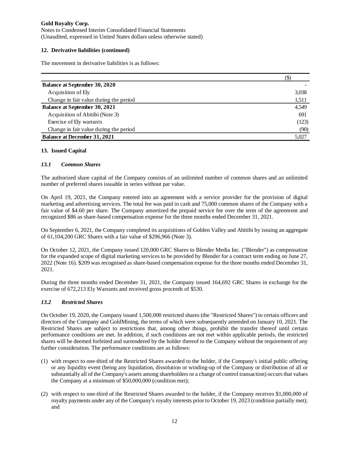Notes to Condensed Interim Consolidated Financial Statements (Unaudited, expressed in United States dollars unless otherwise stated)

## **12. Derivative liabilities (continued)**

The movement in derivative liabilities is as follows:

|                                        | (S)   |
|----------------------------------------|-------|
| <b>Balance at September 30, 2020</b>   |       |
| Acquisition of Ely                     | 3,038 |
| Change in fair value during the period | 1,511 |
| <b>Balance at September 30, 2021</b>   | 4,549 |
| Acquisition of Abitibi (Note 3)        | 691   |
| Exercise of Ely warrants               | (123) |
| Change in fair value during the period | (90)  |
| <b>Balance at December 31, 2021</b>    | 5,027 |

### **13. Issued Capital**

#### *13.1 Common Shares*

The authorized share capital of the Company consists of an unlimited number of common shares and an unlimited number of preferred shares issuable in series without par value.

On April 19, 2021, the Company entered into an agreement with a service provider for the provision of digital marketing and advertising services. The total fee was paid in cash and 75,000 common shares of the Company with a fair value of \$4.60 per share. The Company amortized the prepaid service fee over the term of the agreement and recognized \$86 as share-based compensation expense for the three months ended December 31, 2021.

On September 6, 2021, the Company completed its acquisitions of Golden Valley and Abitibi by issuing an aggregate of 61,104,200 GRC Shares with a fair value of \$296,966 (Note 3).

On October 12, 2021, the Company issued 120,000 GRC Shares to Blender Media Inc. ("Blender") as compensation for the expanded scope of digital marketing services to be provided by Blender for a contract term ending on June 27, 2022 (Note 16). \$209 was recognised as share-based compensation expense for the three months ended December 31, 2021.

During the three months ended December 31, 2021, the Company issued 164,692 GRC Shares in exchange for the exercise of 672,213 Ely Warrants and received gross proceeds of \$530.

### *13.2 Restricted Shares*

On October 19, 2020, the Company issued 1,500,000 restricted shares (the "Restricted Shares") to certain officers and directors of the Company and GoldMining, the terms of which were subsequently amended on January 10, 2021. The Restricted Shares are subject to restrictions that, among other things, prohibit the transfer thereof until certain performance conditions are met. In addition, if such conditions are not met within applicable periods, the restricted shares will be deemed forfeited and surrendered by the holder thereof to the Company without the requirement of any further consideration. The performance conditions are as follows:

- (1) with respect to one-third of the Restricted Shares awarded to the holder, if the Company's initial public offering or any liquidity event (being any liquidation, dissolution or winding-up of the Company or distribution of all or substantially all of the Company's assets among shareholders or a change of control transaction) occurs that values the Company at a minimum of \$50,000,000 (condition met);
- (2) with respect to one-third of the Restricted Shares awarded to the holder, if the Company receives \$1,000,000 of royalty payments under any of the Company's royalty interests prior to October 19, 2023 (condition partially met); and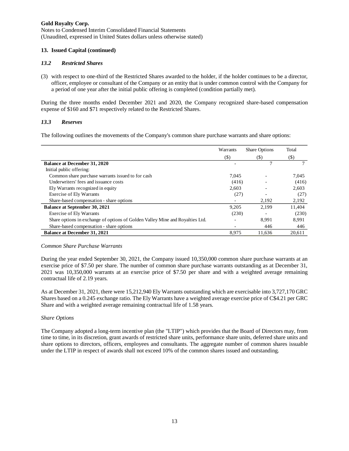Notes to Condensed Interim Consolidated Financial Statements (Unaudited, expressed in United States dollars unless otherwise stated)

#### **13. Issued Capital (continued)**

#### *13.2 Restricted Shares*

(3) with respect to one-third of the Restricted Shares awarded to the holder, if the holder continues to be a director, officer, employee or consultant of the Company or an entity that is under common control with the Company for a period of one year after the initial public offering is completed (condition partially met).

During the three months ended December 2021 and 2020, the Company recognized share-based compensation expense of \$160 and \$71 respectively related to the Restricted Shares.

#### *13.3 Reserves*

The following outlines the movements of the Company's common share purchase warrants and share options:

|                                                                               | Warrants | <b>Share Options</b> | Total  |
|-------------------------------------------------------------------------------|----------|----------------------|--------|
|                                                                               | $(\$)$   | (S)                  | $(\$)$ |
| <b>Balance at December 31, 2020</b>                                           |          | 7                    |        |
| Initial public offering:                                                      |          |                      |        |
| Common share purchase warrants issued to for cash                             | 7.045    |                      | 7.045  |
| Underwriters' fees and issuance costs                                         | (416)    |                      | (416)  |
| Ely Warrants recognized in equity                                             | 2.603    |                      | 2,603  |
| <b>Exercise of Ely Warrants</b>                                               | (27)     |                      | (27)   |
| Share-based compensation - share options                                      |          | 2.192                | 2,192  |
| <b>Balance at September 30, 2021</b>                                          | 9,205    | 2,199                | 11,404 |
| <b>Exercise of Ely Warrants</b>                                               | (230)    |                      | (230)  |
| Share options in exchange of options of Golden Valley Mine and Royalties Ltd. |          | 8.991                | 8.991  |
| Share-based compensation - share options                                      |          | 446                  | 446    |
| <b>Balance at December 31, 2021</b>                                           | 8.975    | 11.636               | 20.611 |

#### *Common Share Purchase Warrants*

During the year ended September 30, 2021, the Company issued 10,350,000 common share purchase warrants at an exercise price of \$7.50 per share. The number of common share purchase warrants outstanding as at December 31, 2021 was 10,350,000 warrants at an exercise price of \$7.50 per share and with a weighted average remaining contractual life of 2.19 years.

As at December 31, 2021, there were 15,212,940 Ely Warrants outstanding which are exercisable into 3,727,170 GRC Shares based on a 0.245 exchange ratio. The Ely Warrants have a weighted average exercise price of C\$4.21 per GRC Share and with a weighted average remaining contractual life of 1.58 years.

#### *Share Options*

The Company adopted a long-term incentive plan (the "LTIP") which provides that the Board of Directors may, from time to time, in its discretion, grant awards of restricted share units, performance share units, deferred share units and share options to directors, officers, employees and consultants. The aggregate number of common shares issuable under the LTIP in respect of awards shall not exceed 10% of the common shares issued and outstanding.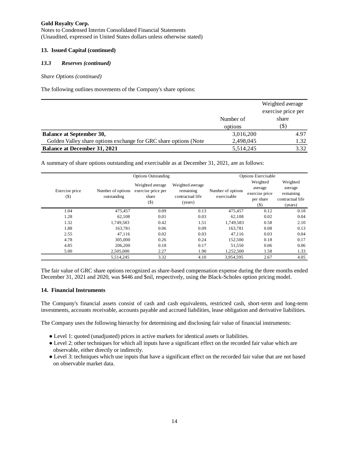Notes to Condensed Interim Consolidated Financial Statements (Unaudited, expressed in United States dollars unless otherwise stated)

## **13. Issued Capital (continued)**

## *13.3 Reserves (continued)*

*Share Options (continued)*

The following outlines movements of the Company's share options:

|                                                                   |           | Weighted average<br>exercise price per |  |
|-------------------------------------------------------------------|-----------|----------------------------------------|--|
|                                                                   | Number of | share                                  |  |
|                                                                   | options   | (S)                                    |  |
| <b>Balance at September 30,</b>                                   | 3,016,200 | 4.97                                   |  |
| Golden Valley share options exchange for GRC share options (Note) | 2,498,045 | 1.32                                   |  |
| <b>Balance at December 31, 2021</b>                               | 5,514,245 | 3.32                                   |  |

A summary of share options outstanding and exercisable as at December 31, 2021, are as follows:

|                          | <b>Options Outstanding</b>       |                                                           |                                                              | <b>Options Exercisable</b>       |                                                              |                                                                 |
|--------------------------|----------------------------------|-----------------------------------------------------------|--------------------------------------------------------------|----------------------------------|--------------------------------------------------------------|-----------------------------------------------------------------|
| Exercise price<br>$(\$)$ | Number of options<br>outstanding | Weighted average<br>exercise price per<br>share<br>$(\$)$ | Weighted average<br>remaining<br>contractual life<br>(years) | Number of options<br>exercisable | Weighted<br>average<br>exercise price<br>per share<br>$($ \$ | Weighted<br>average<br>remaining<br>contractual life<br>(years) |
| 1.04                     | 475,457                          | 0.09                                                      | 0.13                                                         | 475,457                          | 0.12                                                         | 0.18                                                            |
| 1.28                     | 62.108                           | 0.01                                                      | 0.03                                                         | 62,108                           | 0.02                                                         | 0.04                                                            |
| 1.32                     | 1,749,583                        | 0.42                                                      | 1.51                                                         | 1,749,583                        | 0.58                                                         | 2.10                                                            |
| 1.88                     | 163.781                          | 0.06                                                      | 0.09                                                         | 163.781                          | 0.08                                                         | 0.13                                                            |
| 2.55                     | 47.116                           | 0.02                                                      | 0.03                                                         | 47.116                           | 0.03                                                         | 0.04                                                            |
| 4.78                     | 305,000                          | 0.26                                                      | 0.24                                                         | 152,500                          | 0.18                                                         | 0.17                                                            |
| 4.85                     | 206,200                          | 0.18                                                      | 0.17                                                         | 51.550                           | 0.06                                                         | 0.06                                                            |
| 5.00                     | 2,505,000                        | 2.27                                                      | 1.90                                                         | 1,252,500                        | 1.58                                                         | 1.33                                                            |
|                          | 5,514,245                        | 3.32                                                      | 4.10                                                         | 3.954.595                        | 2.67                                                         | 4.05                                                            |

The fair value of GRC share options recognized as share-based compensation expense during the three months ended December 31, 2021 and 2020, was \$446 and \$nil, respectively, using the Black-Scholes option pricing model.

### **14. Financial Instruments**

The Company's financial assets consist of cash and cash equivalents, restricted cash, short-term and long-term investments, accounts receivable, accounts payable and accrued liabilities, lease obligation and derivative liabilities.

The Company uses the following hierarchy for determining and disclosing fair value of financial instruments:

- Level 1: quoted (unadjusted) prices in active markets for identical assets or liabilities.
- Level 2: other techniques for which all inputs have a significant effect on the recorded fair value which are observable, either directly or indirectly.
- Level 3: techniques which use inputs that have a significant effect on the recorded fair value that are not based on observable market data.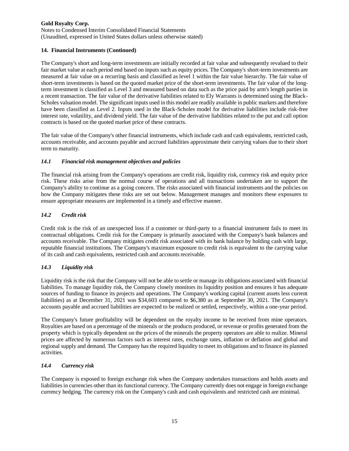Notes to Condensed Interim Consolidated Financial Statements (Unaudited, expressed in United States dollars unless otherwise stated)

## **14. Financial Instruments (Continued)**

The Company's short and long-term investments are initially recorded at fair value and subsequently revalued to their fair market value at each period end based on inputs such as equity prices. The Company's short-term investments are measured at fair value on a recurring basis and classified as level 1 within the fair value hierarchy. The fair value of short-term investments is based on the quoted market price of the short-term investments. The fair value of the longterm investment is classified as Level 3 and measured based on data such as the price paid by arm's length parties in a recent transaction. The fair value of the derivative liabilities related to Ely Warrants is determined using the Black-Scholes valuation model. The significant inputs used in this model are readily available in public markets and therefore have been classified as Level 2. Inputs used in the Black-Scholes model for derivative liabilities include risk-free interest rate, volatility, and dividend yield. The fair value of the derivative liabilities related to the put and call option contracts is based on the quoted market price of these contracts.

The fair value of the Company's other financial instruments, which include cash and cash equivalents, restricted cash, accounts receivable, and accounts payable and accrued liabilities approximate their carrying values due to their short term to maturity.

### *14.1 Financial risk management objectives and policies*

The financial risk arising from the Company's operations are credit risk, liquidity risk, currency risk and equity price risk. These risks arise from the normal course of operations and all transactions undertaken are to support the Company's ability to continue as a going concern. The risks associated with financial instruments and the policies on how the Company mitigates these risks are set out below. Management manages and monitors these exposures to ensure appropriate measures are implemented in a timely and effective manner.

## *14.2 Credit risk*

Credit risk is the risk of an unexpected loss if a customer or third-party to a financial instrument fails to meet its contractual obligations. Credit risk for the Company is primarily associated with the Company's bank balances and accounts receivable. The Company mitigates credit risk associated with its bank balance by holding cash with large, reputable financial institutions. The Company's maximum exposure to credit risk is equivalent to the carrying value of its cash and cash equivalents, restricted cash and accounts receivable.

## *14.3 Liquidity risk*

Liquidity risk is the risk that the Company will not be able to settle or manage its obligations associated with financial liabilities. To manage liquidity risk, the Company closely monitors its liquidity position and ensures it has adequate sources of funding to finance its projects and operations. The Company's working capital (current assets less current liabilities) as at December 31, 2021 was \$34,603 compared to \$6,380 as at September 30, 2021. The Company's accounts payable and accrued liabilities are expected to be realized or settled, respectively, within a one-year period.

The Company's future profitability will be dependent on the royalty income to be received from mine operators. Royalties are based on a percentage of the minerals or the products produced, or revenue or profits generated from the property which is typically dependent on the prices of the minerals the property operators are able to realize. Mineral prices are affected by numerous factors such as interest rates, exchange rates, inflation or deflation and global and regional supply and demand. The Company has the required liquidity to meet its obligations and to finance its planned activities.

## *14.4 Currency risk*

The Company is exposed to foreign exchange risk when the Company undertakes transactions and holds assets and liabilities in currencies other than its functional currency. The Company currently does not engage in foreign exchange currency hedging. The currency risk on the Company's cash and cash equivalents and restricted cash are minimal.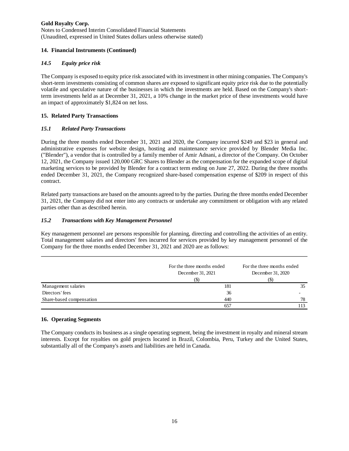Notes to Condensed Interim Consolidated Financial Statements (Unaudited, expressed in United States dollars unless otherwise stated)

## **14. Financial Instruments (Continued)**

## *14.5 Equity price risk*

The Company is exposed to equity price risk associated with its investment in other mining companies. The Company's short-term investments consisting of common shares are exposed to significant equity price risk due to the potentially volatile and speculative nature of the businesses in which the investments are held. Based on the Company's shortterm investments held as at December 31, 2021, a 10% change in the market price of these investments would have an impact of approximately \$1,824 on net loss.

## **15. Related Party Transactions**

## *15.1 Related Party Transactions*

During the three months ended December 31, 2021 and 2020, the Company incurred \$249 and \$23 in general and administrative expenses for website design, hosting and maintenance service provided by Blender Media Inc. ("Blender"), a vendor that is controlled by a family member of Amir Adnani, a director of the Company. On October 12, 2021, the Company issued 120,000 GRC Shares to Blender as the compensation for the expanded scope of digital marketing services to be provided by Blender for a contract term ending on June 27, 2022. During the three months ended December 31, 2021, the Company recognized share-based compensation expense of \$209 in respect of this contract.

Related party transactions are based on the amounts agreed to by the parties. During the three months ended December 31, 2021, the Company did not enter into any contracts or undertake any commitment or obligation with any related parties other than as described herein.

## *15.2 Transactions with Key Management Personnel*

Key management personnel are persons responsible for planning, directing and controlling the activities of an entity. Total management salaries and directors' fees incurred for services provided by key management personnel of the Company for the three months ended December 31, 2021 and 2020 are as follows:

|                          | For the three months ended<br>December 31, 2021<br>(S) | For the three months ended<br>December 31, 2020<br>(ა) |
|--------------------------|--------------------------------------------------------|--------------------------------------------------------|
| Management salaries      | 181                                                    | 35                                                     |
| Directors' fees          | 36                                                     | -                                                      |
| Share-based compensation | 440                                                    | 78                                                     |
|                          | 657                                                    |                                                        |

### **16. Operating Segments**

The Company conducts its business as a single operating segment, being the investment in royalty and mineral stream interests. Except for royalties on gold projects located in Brazil, Colombia, Peru, Turkey and the United States, substantially all of the Company's assets and liabilities are held in Canada.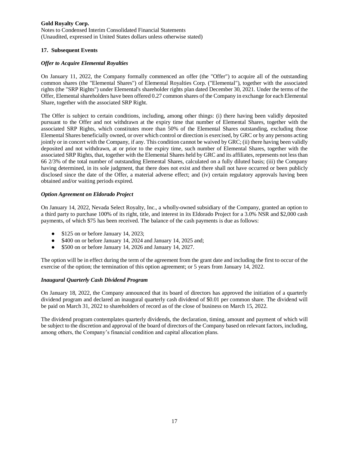Notes to Condensed Interim Consolidated Financial Statements (Unaudited, expressed in United States dollars unless otherwise stated)

## **17. Subsequent Events**

### *Offer to Acquire Elemental Royalties*

On January 11, 2022, the Company formally commenced an offer (the "Offer") to acquire all of the outstanding common shares (the "Elemental Shares") of Elemental Royalties Corp. ("Elemental"), together with the associated rights (the "SRP Rights") under Elemental's shareholder rights plan dated December 30, 2021. Under the terms of the Offer, Elemental shareholders have been offered 0.27 common shares of the Company in exchange for each Elemental Share, together with the associated SRP Right.

The Offer is subject to certain conditions, including, among other things: (i) there having been validly deposited pursuant to the Offer and not withdrawn at the expiry time that number of Elemental Shares, together with the associated SRP Rights, which constitutes more than 50% of the Elemental Shares outstanding, excluding those Elemental Shares beneficially owned, or over which control or direction is exercised, by GRC or by any persons acting jointly or in concert with the Company, if any. This condition cannot be waived by GRC; (ii) there having been validly deposited and not withdrawn, at or prior to the expiry time, such number of Elemental Shares, together with the associated SRP Rights, that, together with the Elemental Shares held by GRC and its affiliates, represents not less than 66 2/3% of the total number of outstanding Elemental Shares, calculated on a fully diluted basis; (iii) the Company having determined, in its sole judgment, that there does not exist and there shall not have occurred or been publicly disclosed since the date of the Offer, a material adverse effect; and (iv) certain regulatory approvals having been obtained and/or waiting periods expired.

## *Option Agreement on Eldorado Project*

On January 14, 2022, Nevada Select Royalty, Inc., a wholly-owned subsidiary of the Company, granted an option to a third party to purchase 100% of its right, title, and interest in its Eldorado Project for a 3.0% NSR and \$2,000 cash payments, of which \$75 has been received. The balance of the cash payments is due as follows:

- \$125 on or before January 14, 2023;
- \$400 on or before January 14, 2024 and January 14, 2025 and;
- \$500 on or before January 14, 2026 and January 14, 2027.

The option will be in effect during the term of the agreement from the grant date and including the first to occur of the exercise of the option; the termination of this option agreement; or 5 years from January 14, 2022.

### *Inaugural Quarterly Cash Dividend Program*

On January 18, 2022, the Company announced that its board of directors has approved the initiation of a quarterly dividend program and declared an inaugural quarterly cash dividend of \$0.01 per common share. The dividend will be paid on March 31, 2022 to shareholders of record as of the close of business on March 15, 2022.

The dividend program contemplates quarterly dividends, the declaration, timing, amount and payment of which will be subject to the discretion and approval of the board of directors of the Company based on relevant factors, including, among others, the Company's financial condition and capital allocation plans.